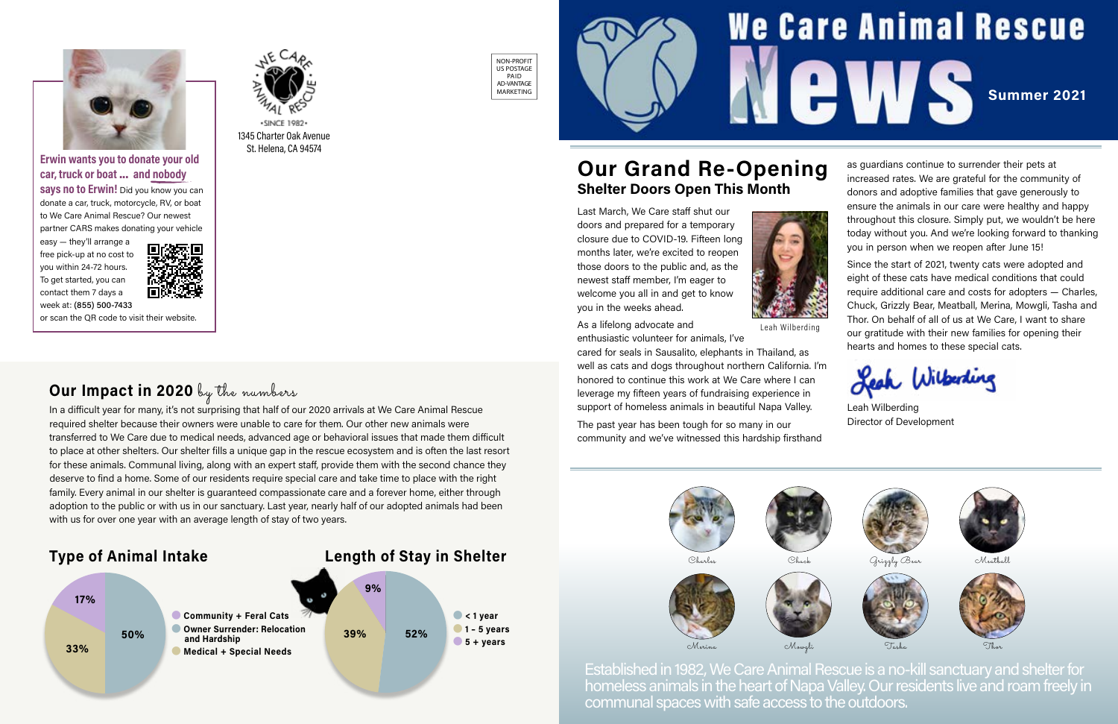# **We Care Animal Rescue** EWS Summer 2021



Established in 1982, We Care Animal Rescue is a no-kill sanctuary and shelter for homeless animals in the heart of Napa Valley. Our residents live and roam freely in communal spaces with safe access to the outdoors.



In a difficult year for many, it's not surprising that half of our 2020 arrivals at We Care Animal Rescue required shelter because their owners were unable to care for them. Our other new animals were transferred to We Care due to medical needs, advanced age or behavioral issues that made them difficult to place at other shelters. Our shelter fills a unique gap in the rescue ecosystem and is often the last resort for these animals. Communal living, along with an expert staff, provide them with the second chance they deserve to find a home. Some of our residents require special care and take time to place with the right family. Every animal in our shelter is guaranteed compassionate care and a forever home, either through adoption to the public or with us in our sanctuary. Last year, nearly half of our adopted animals had been with us for over one year with an average length of stay of two years.

### Type of Animal Intake Length of Stay in Shelter







Merina







Meatball

## Our Grand Re-Opening Shelter Doors Open This Month

Last March, We Care staff shut our doors and prepared for a temporary closure due to COVID-19. Fifteen long months later, we're excited to reopen those doors to the public and, as the newest staff member, I'm eager to welcome you all in and get to know you in the weeks ahead.

**says no to Erwin!** Did you know you can donate a car, truck, motorcycle, RV, or boat to We Care Animal Rescue? Our newest partner CARS makes donating your vehicle

As a lifelong advocate and

enthusiastic volunteer for animals, I've



cared for seals in Sausalito, elephants in Thailand, as well as cats and dogs throughout northern California. I'm honored to continue this work at We Care where I can leverage my fifteen years of fundraising experience in support of homeless animals in beautiful Napa Valley.

The past year has been tough for so many in our community and we've witnessed this hardship firsthand





as guardians continue to surrender their pets at increased rates. We are grateful for the community of donors and adoptive families that gave generously to ensure the animals in our care were healthy and happy throughout this closure. Simply put, we wouldn't be here today without you. And we're looking forward to thanking you in person when we reopen after June 15!

Since the start of 2021, twenty cats were adopted and eight of these cats have medical conditions that could require additional care and costs for adopters — Charles, Chuck, Grizzly Bear, Meatball, Merina, Mowgli, Tasha and Thor. On behalf of all of us at We Care, I want to share our gratitude with their new families for opening their hearts and homes to these special cats.

Leah Wilberling

Leah Wilberding Director of Development



Leah Wilberding

1345 Charter Oak Avenue St. Helena, CA 94574

·SINCE 1982·







#### Erwin wants you to donate your old car, truck or boat ... and nobody

easy — they'll arrange a free pick-up at no cost to you within 24-72 hours. To get started, you can contact them 7 days a week at: (855) 500-7433



or scan the QR code to visit their website.

# Our Impact in 2020 by the numbers